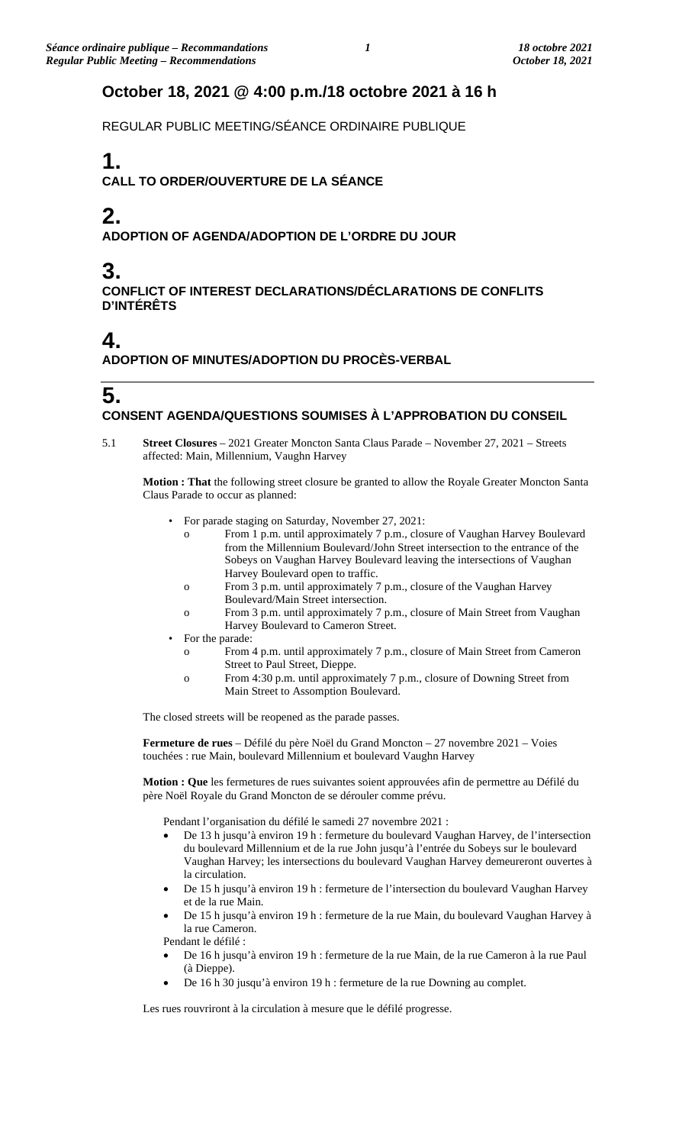## **October 18, 2021 @ 4:00 p.m./18 octobre 2021 à 16 h**

REGULAR PUBLIC MEETING/SÉANCE ORDINAIRE PUBLIQUE

# **1.**

**CALL TO ORDER/OUVERTURE DE LA SÉANCE**

# **2.**

**ADOPTION OF AGENDA/ADOPTION DE L'ORDRE DU JOUR**

# **3.**

**CONFLICT OF INTEREST DECLARATIONS/DÉCLARATIONS DE CONFLITS D'INTÉRÊTS**

# **4.**

**ADOPTION OF MINUTES/ADOPTION DU PROCÈS-VERBAL**

### **5. CONSENT AGENDA/QUESTIONS SOUMISES À L'APPROBATION DU CONSEIL**

5.1 **Street Closures** – 2021 Greater Moncton Santa Claus Parade – November 27, 2021 – Streets affected: Main, Millennium, Vaughn Harvey

**Motion : That** the following street closure be granted to allow the Royale Greater Moncton Santa Claus Parade to occur as planned:

- For parade staging on Saturday, November 27, 2021:
	- o From 1 p.m. until approximately 7 p.m., closure of Vaughan Harvey Boulevard from the Millennium Boulevard/John Street intersection to the entrance of the Sobeys on Vaughan Harvey Boulevard leaving the intersections of Vaughan Harvey Boulevard open to traffic.
	- o From 3 p.m. until approximately 7 p.m., closure of the Vaughan Harvey Boulevard/Main Street intersection.
	- o From 3 p.m. until approximately 7 p.m., closure of Main Street from Vaughan Harvey Boulevard to Cameron Street.
- For the parade:
	- o From 4 p.m. until approximately 7 p.m., closure of Main Street from Cameron Street to Paul Street, Dieppe.
	- o From 4:30 p.m. until approximately 7 p.m., closure of Downing Street from Main Street to Assomption Boulevard.

The closed streets will be reopened as the parade passes.

**Fermeture de rues** – Défilé du père Noël du Grand Moncton – 27 novembre 2021 – Voies touchées : rue Main, boulevard Millennium et boulevard Vaughn Harvey

**Motion : Que** les fermetures de rues suivantes soient approuvées afin de permettre au Défilé du père Noël Royale du Grand Moncton de se dérouler comme prévu.

Pendant l'organisation du défilé le samedi 27 novembre 2021 :

- De 13 h jusqu'à environ 19 h : fermeture du boulevard Vaughan Harvey, de l'intersection du boulevard Millennium et de la rue John jusqu'à l'entrée du Sobeys sur le boulevard Vaughan Harvey; les intersections du boulevard Vaughan Harvey demeureront ouvertes à la circulation.
- De 15 h jusqu'à environ 19 h : fermeture de l'intersection du boulevard Vaughan Harvey et de la rue Main.
- De 15 h jusqu'à environ 19 h : fermeture de la rue Main, du boulevard Vaughan Harvey à la rue Cameron.

Pendant le défilé :

- De 16 h jusqu'à environ 19 h : fermeture de la rue Main, de la rue Cameron à la rue Paul (à Dieppe).
- De 16 h 30 jusqu'à environ 19 h : fermeture de la rue Downing au complet.

Les rues rouvriront à la circulation à mesure que le défilé progresse.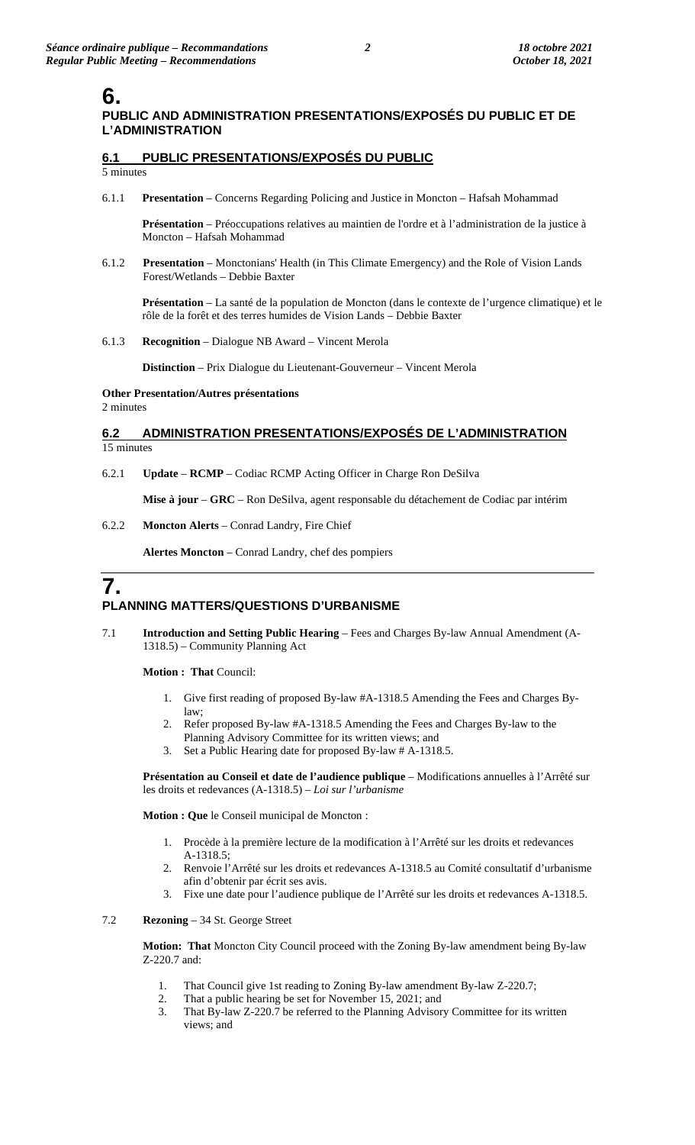## **6.**

### **PUBLIC AND ADMINISTRATION PRESENTATIONS/EXPOSÉS DU PUBLIC ET DE L'ADMINISTRATION**

## **6.1 PUBLIC PRESENTATIONS/EXPOSÉS DU PUBLIC**

5 minutes

6.1.1 **Presentation** – Concerns Regarding Policing and Justice in Moncton – Hafsah Mohammad

**Présentation** – Préoccupations relatives au maintien de l'ordre et à l'administration de la justice à Moncton – Hafsah Mohammad

6.1.2 **Presentation** – Monctonians' Health (in This Climate Emergency) and the Role of Vision Lands Forest/Wetlands – Debbie Baxter

**Présentation** – La santé de la population de Moncton (dans le contexte de l'urgence climatique) et le rôle de la forêt et des terres humides de Vision Lands – Debbie Baxter

6.1.3 **Recognition** – Dialogue NB Award – Vincent Merola

**Distinction** – Prix Dialogue du Lieutenant-Gouverneur – Vincent Merola

### **Other Presentation/Autres présentations**

2 minutes

#### **6.2 ADMINISTRATION PRESENTATIONS/EXPOSÉS DE L'ADMINISTRATION** 15 minutes

6.2.1 **Update** – **RCMP** – Codiac RCMP Acting Officer in Charge Ron DeSilva

**Mise à jour** – **GRC** – Ron DeSilva, agent responsable du détachement de Codiac par intérim

6.2.2 **Moncton Alerts** – Conrad Landry, Fire Chief

**Alertes Moncton** – Conrad Landry, chef des pompiers

# **7.**

### **PLANNING MATTERS/QUESTIONS D'URBANISME**

7.1 **Introduction and Setting Public Hearing** – Fees and Charges By-law Annual Amendment (A-1318.5) – Community Planning Act

**Motion : That** Council:

- 1. Give first reading of proposed By-law #A-1318.5 Amending the Fees and Charges Bylaw;
- 2. Refer proposed By-law #A-1318.5 Amending the Fees and Charges By-law to the
- Planning Advisory Committee for its written views; and 3. Set a Public Hearing date for proposed By-law # A-1318.5.

**Présentation au Conseil et date de l'audience publique** – Modifications annuelles à l'Arrêté sur les droits et redevances (A-1318.5) – *Loi sur l'urbanisme*

**Motion : Que** le Conseil municipal de Moncton :

- 1. Procède à la première lecture de la modification à l'Arrêté sur les droits et redevances A-1318.5;
- 2. Renvoie l'Arrêté sur les droits et redevances A-1318.5 au Comité consultatif d'urbanisme afin d'obtenir par écrit ses avis.
- 3. Fixe une date pour l'audience publique de l'Arrêté sur les droits et redevances A-1318.5.

#### 7.2 **Rezoning** – 34 St. George Street

**Motion: That** Moncton City Council proceed with the Zoning By-law amendment being By-law Z-220.7 and:

- 1. That Council give 1st reading to Zoning By-law amendment By-law Z-220.7;
- 2. That a public hearing be set for November 15, 2021; and
- 3. That By-law Z-220.7 be referred to the Planning Advisory Committee for its written views; and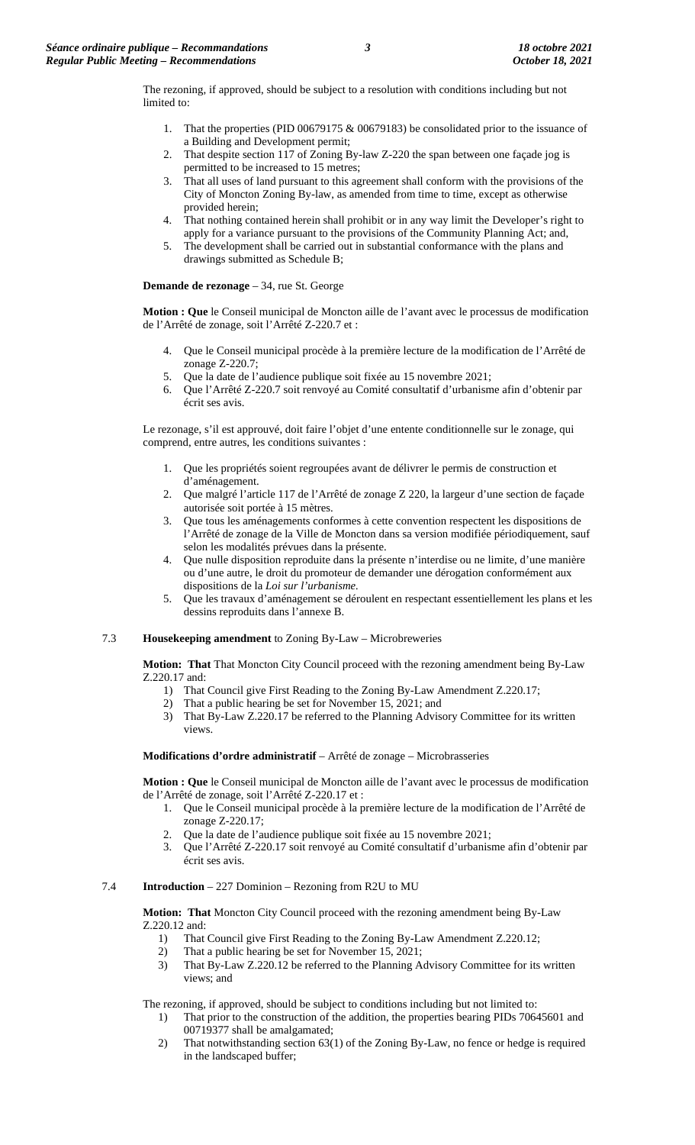The rezoning, if approved, should be subject to a resolution with conditions including but not limited to:

- 1. That the properties (PID 00679175 & 00679183) be consolidated prior to the issuance of a Building and Development permit;
- 2. That despite section 117 of Zoning By-law Z-220 the span between one façade jog is permitted to be increased to 15 metres;
- 3. That all uses of land pursuant to this agreement shall conform with the provisions of the City of Moncton Zoning By-law, as amended from time to time, except as otherwise provided herein;
- 4. That nothing contained herein shall prohibit or in any way limit the Developer's right to apply for a variance pursuant to the provisions of the Community Planning Act; and,
- 5. The development shall be carried out in substantial conformance with the plans and drawings submitted as Schedule B;

**Demande de rezonage** – 34, rue St. George

**Motion : Que** le Conseil municipal de Moncton aille de l'avant avec le processus de modification de l'Arrêté de zonage, soit l'Arrêté Z-220.7 et :

- 4. Que le Conseil municipal procède à la première lecture de la modification de l'Arrêté de zonage Z-220.7;
- 5. Que la date de l'audience publique soit fixée au 15 novembre 2021;
- 6. Que l'Arrêté Z-220.7 soit renvoyé au Comité consultatif d'urbanisme afin d'obtenir par écrit ses avis.

Le rezonage, s'il est approuvé, doit faire l'objet d'une entente conditionnelle sur le zonage, qui comprend, entre autres, les conditions suivantes :

- 1. Que les propriétés soient regroupées avant de délivrer le permis de construction et d'aménagement.
- 2. Que malgré l'article 117 de l'Arrêté de zonage Z 220, la largeur d'une section de façade autorisée soit portée à 15 mètres.
- 3. Que tous les aménagements conformes à cette convention respectent les dispositions de l'Arrêté de zonage de la Ville de Moncton dans sa version modifiée périodiquement, sauf selon les modalités prévues dans la présente.
- 4. Que nulle disposition reproduite dans la présente n'interdise ou ne limite, d'une manière ou d'une autre, le droit du promoteur de demander une dérogation conformément aux dispositions de la *Loi sur l'urbanisme.*
- 5. Que les travaux d'aménagement se déroulent en respectant essentiellement les plans et les dessins reproduits dans l'annexe B.

#### 7.3 **Housekeeping amendment** to Zoning By-Law – Microbreweries

**Motion: That** That Moncton City Council proceed with the rezoning amendment being By-Law Z.220.17 and:

- 1) That Council give First Reading to the Zoning By-Law Amendment Z.220.17;
- 2) That a public hearing be set for November 15, 2021; and
- 3) That By-Law Z.220.17 be referred to the Planning Advisory Committee for its written views.

#### **Modifications d'ordre administratif** – Arrêté de zonage – Microbrasseries

**Motion : Que** le Conseil municipal de Moncton aille de l'avant avec le processus de modification de l'Arrêté de zonage, soit l'Arrêté Z-220.17 et :

- 1. Que le Conseil municipal procède à la première lecture de la modification de l'Arrêté de zonage Z-220.17;
- 2. Que la date de l'audience publique soit fixée au 15 novembre 2021;
- 3. Que l'Arrêté Z-220.17 soit renvoyé au Comité consultatif d'urbanisme afin d'obtenir par écrit ses avis.

#### 7.4 **Introduction** – 227 Dominion – Rezoning from R2U to MU

**Motion: That** Moncton City Council proceed with the rezoning amendment being By-Law Z.220.12 and:

- 1) That Council give First Reading to the Zoning By-Law Amendment Z.220.12;
- 2) That a public hearing be set for November 15, 2021;
- 3) That By-Law Z.220.12 be referred to the Planning Advisory Committee for its written views; and

The rezoning, if approved, should be subject to conditions including but not limited to:

- 1) That prior to the construction of the addition, the properties bearing PIDs 70645601 and 00719377 shall be amalgamated;
- 2) That notwithstanding section 63(1) of the Zoning By-Law, no fence or hedge is required in the landscaped buffer;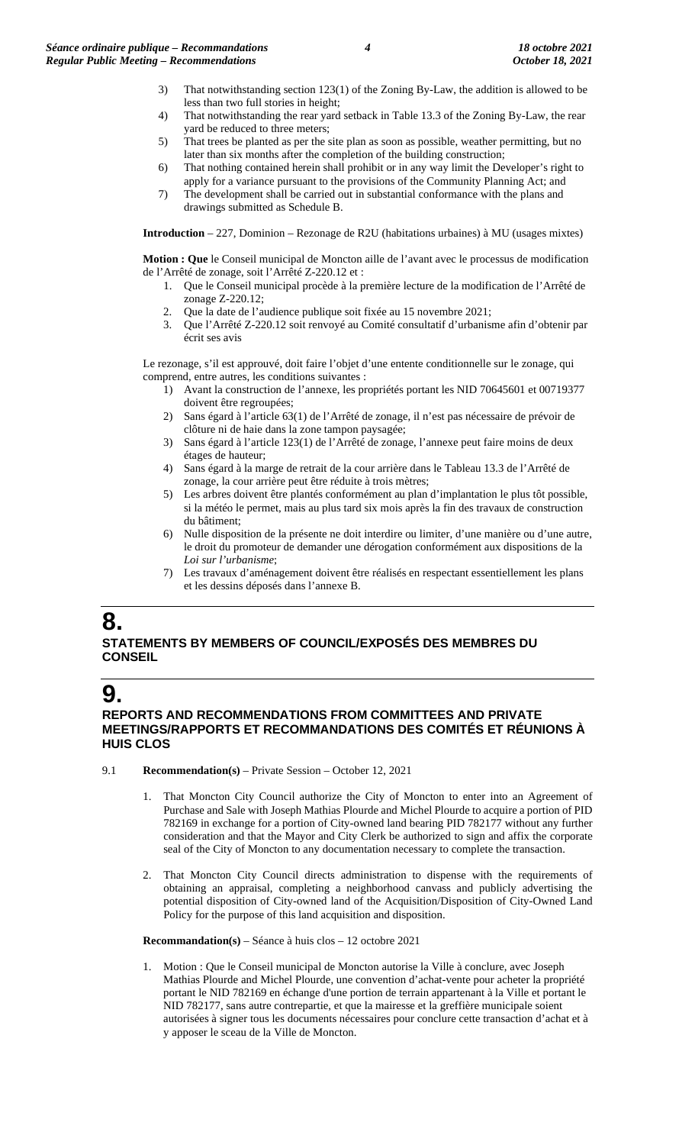- 3) That notwithstanding section 123(1) of the Zoning By-Law, the addition is allowed to be less than two full stories in height;
- 4) That notwithstanding the rear yard setback in Table 13.3 of the Zoning By-Law, the rear yard be reduced to three meters;
- 5) That trees be planted as per the site plan as soon as possible, weather permitting, but no later than six months after the completion of the building construction;
- 6) That nothing contained herein shall prohibit or in any way limit the Developer's right to apply for a variance pursuant to the provisions of the Community Planning Act; and
- 7) The development shall be carried out in substantial conformance with the plans and drawings submitted as Schedule B.

**Introduction** – 227, Dominion – Rezonage de R2U (habitations urbaines) à MU (usages mixtes)

**Motion : Que** le Conseil municipal de Moncton aille de l'avant avec le processus de modification de l'Arrêté de zonage, soit l'Arrêté Z-220.12 et :

- 1. Que le Conseil municipal procède à la première lecture de la modification de l'Arrêté de zonage Z-220.12;
- 2. Que la date de l'audience publique soit fixée au 15 novembre 2021;
- 3. Que l'Arrêté Z-220.12 soit renvoyé au Comité consultatif d'urbanisme afin d'obtenir par écrit ses avis

Le rezonage, s'il est approuvé, doit faire l'objet d'une entente conditionnelle sur le zonage, qui comprend, entre autres, les conditions suivantes :

- 1) Avant la construction de l'annexe, les propriétés portant les NID 70645601 et 00719377 doivent être regroupées;
- 2) Sans égard à l'article 63(1) de l'Arrêté de zonage, il n'est pas nécessaire de prévoir de clôture ni de haie dans la zone tampon paysagée;
- 3) Sans égard à l'article 123(1) de l'Arrêté de zonage, l'annexe peut faire moins de deux étages de hauteur;
- 4) Sans égard à la marge de retrait de la cour arrière dans le Tableau 13.3 de l'Arrêté de zonage, la cour arrière peut être réduite à trois mètres;
- 5) Les arbres doivent être plantés conformément au plan d'implantation le plus tôt possible, si la météo le permet, mais au plus tard six mois après la fin des travaux de construction du bâtiment;
- 6) Nulle disposition de la présente ne doit interdire ou limiter, d'une manière ou d'une autre, le droit du promoteur de demander une dérogation conformément aux dispositions de la *Loi sur l'urbanisme*;
- 7) Les travaux d'aménagement doivent être réalisés en respectant essentiellement les plans et les dessins déposés dans l'annexe B.

## **8.**

### **STATEMENTS BY MEMBERS OF COUNCIL/EXPOSÉS DES MEMBRES DU CONSEIL**

## **9.**

### **REPORTS AND RECOMMENDATIONS FROM COMMITTEES AND PRIVATE MEETINGS/RAPPORTS ET RECOMMANDATIONS DES COMITÉS ET RÉUNIONS À HUIS CLOS**

- 9.1 **Recommendation(s)** Private Session October 12, 2021
	- That Moncton City Council authorize the City of Moncton to enter into an Agreement of Purchase and Sale with Joseph Mathias Plourde and Michel Plourde to acquire a portion of PID 782169 in exchange for a portion of City-owned land bearing PID 782177 without any further consideration and that the Mayor and City Clerk be authorized to sign and affix the corporate seal of the City of Moncton to any documentation necessary to complete the transaction.
	- 2. That Moncton City Council directs administration to dispense with the requirements of obtaining an appraisal, completing a neighborhood canvass and publicly advertising the potential disposition of City-owned land of the Acquisition/Disposition of City-Owned Land Policy for the purpose of this land acquisition and disposition.

**Recommandation(s)** – Séance à huis clos – 12 octobre 2021

1. Motion : Que le Conseil municipal de Moncton autorise la Ville à conclure, avec Joseph Mathias Plourde and Michel Plourde, une convention d'achat-vente pour acheter la propriété portant le NID 782169 en échange d'une portion de terrain appartenant à la Ville et portant le NID 782177, sans autre contrepartie, et que la mairesse et la greffière municipale soient autorisées à signer tous les documents nécessaires pour conclure cette transaction d'achat et à y apposer le sceau de la Ville de Moncton.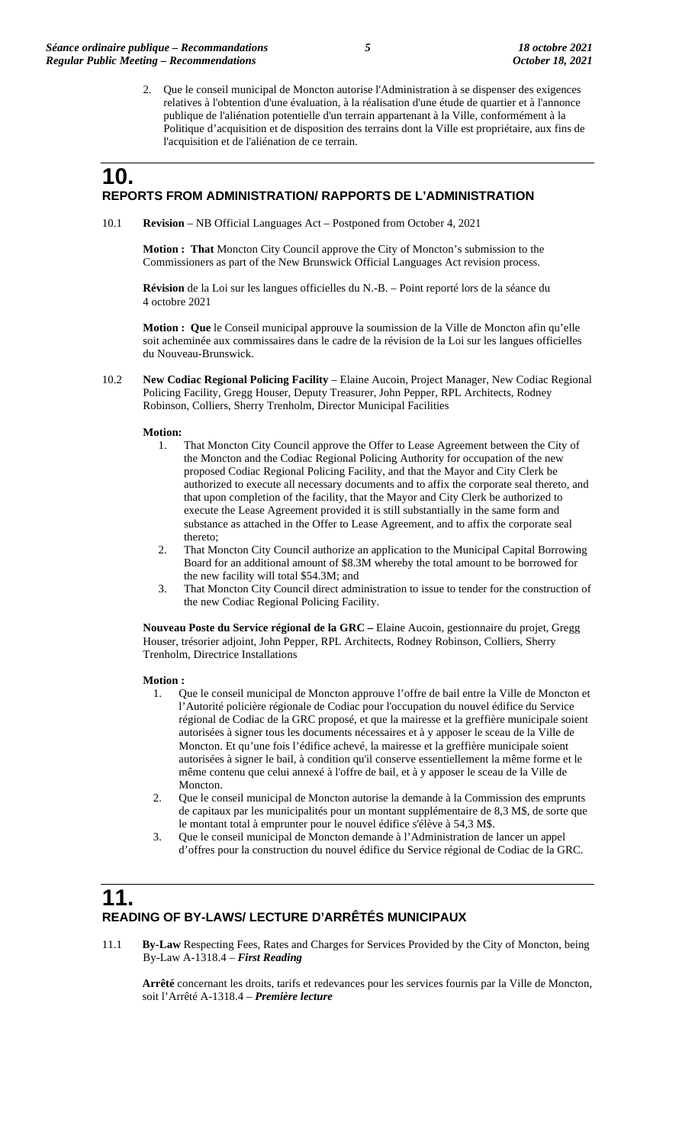2. Que le conseil municipal de Moncton autorise l'Administration à se dispenser des exigences relatives à l'obtention d'une évaluation, à la réalisation d'une étude de quartier et à l'annonce publique de l'aliénation potentielle d'un terrain appartenant à la Ville, conformément à la Politique d'acquisition et de disposition des terrains dont la Ville est propriétaire, aux fins de l'acquisition et de l'aliénation de ce terrain.

### **10. REPORTS FROM ADMINISTRATION/ RAPPORTS DE L'ADMINISTRATION**

10.1 **Revision** – NB Official Languages Act – Postponed from October 4, 2021

**Motion : That** Moncton City Council approve the City of Moncton's submission to the Commissioners as part of the New Brunswick Official Languages Act revision process.

**Révision** de la Loi sur les langues officielles du N.-B. – Point reporté lors de la séance du 4 octobre 2021

**Motion : Que** le Conseil municipal approuve la soumission de la Ville de Moncton afin qu'elle soit acheminée aux commissaires dans le cadre de la révision de la Loi sur les langues officielles du Nouveau-Brunswick.

10.2 **New Codiac Regional Policing Facility** – Elaine Aucoin, Project Manager, New Codiac Regional Policing Facility, Gregg Houser, Deputy Treasurer, John Pepper, RPL Architects, Rodney Robinson, Colliers, Sherry Trenholm, Director Municipal Facilities

**Motion:**

- 1. That Moncton City Council approve the Offer to Lease Agreement between the City of the Moncton and the Codiac Regional Policing Authority for occupation of the new proposed Codiac Regional Policing Facility, and that the Mayor and City Clerk be authorized to execute all necessary documents and to affix the corporate seal thereto, and that upon completion of the facility, that the Mayor and City Clerk be authorized to execute the Lease Agreement provided it is still substantially in the same form and substance as attached in the Offer to Lease Agreement, and to affix the corporate seal thereto;
- 2. That Moncton City Council authorize an application to the Municipal Capital Borrowing Board for an additional amount of \$8.3M whereby the total amount to be borrowed for the new facility will total \$54.3M; and
- 3. That Moncton City Council direct administration to issue to tender for the construction of the new Codiac Regional Policing Facility.

**Nouveau Poste du Service régional de la GRC –** Elaine Aucoin, gestionnaire du projet, Gregg Houser, trésorier adjoint, John Pepper, RPL Architects, Rodney Robinson, Colliers, Sherry Trenholm, Directrice Installations

#### **Motion :**

- 1. Que le conseil municipal de Moncton approuve l'offre de bail entre la Ville de Moncton et l'Autorité policière régionale de Codiac pour l'occupation du nouvel édifice du Service régional de Codiac de la GRC proposé, et que la mairesse et la greffière municipale soient autorisées à signer tous les documents nécessaires et à y apposer le sceau de la Ville de Moncton. Et qu'une fois l'édifice achevé, la mairesse et la greffière municipale soient autorisées à signer le bail, à condition qu'il conserve essentiellement la même forme et le même contenu que celui annexé à l'offre de bail, et à y apposer le sceau de la Ville de Moncton.
- 2. Que le conseil municipal de Moncton autorise la demande à la Commission des emprunts de capitaux par les municipalités pour un montant supplémentaire de 8,3 M\$, de sorte que le montant total à emprunter pour le nouvel édifice s'élève à 54,3 M\$.
- 3. Que le conseil municipal de Moncton demande à l'Administration de lancer un appel d'offres pour la construction du nouvel édifice du Service régional de Codiac de la GRC.

## **11. READING OF BY-LAWS/ LECTURE D'ARRÊTÉS MUNICIPAUX**

11.1 **By-Law** Respecting Fees, Rates and Charges for Services Provided by the City of Moncton, being By-Law A-1318.4 – *First Reading*

**Arrêté** concernant les droits, tarifs et redevances pour les services fournis par la Ville de Moncton, soit l'Arrêté A-1318.4 – *Première lecture*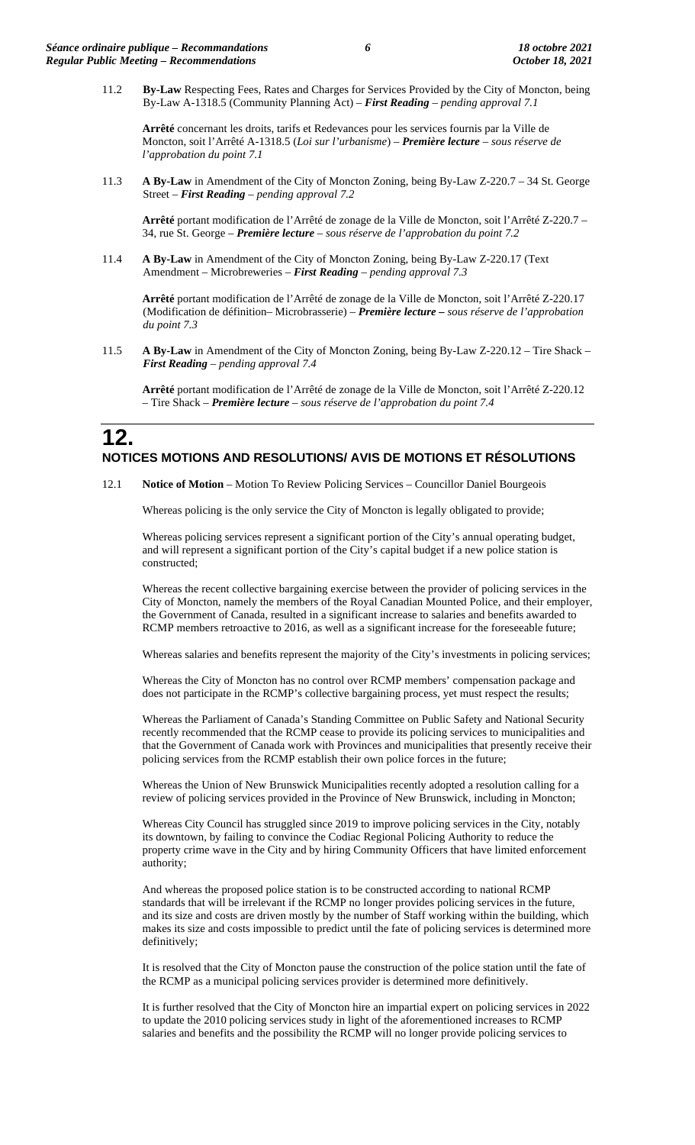11.2 **By-Law** Respecting Fees, Rates and Charges for Services Provided by the City of Moncton, being By-Law A-1318.5 (Community Planning Act) – *First Reading – pending approval 7.1*

**Arrêté** concernant les droits, tarifs et Redevances pour les services fournis par la Ville de Moncton, soit l'Arrêté A-1318.5 (*Loi sur l'urbanisme*) – *Première lecture* – *sous réserve de l'approbation du point 7.1*

11.3 **A By-Law** in Amendment of the City of Moncton Zoning, being By-Law Z-220.7 – 34 St. George Street – *First Reading – pending approval 7.2*

**Arrêté** portant modification de l'Arrêté de zonage de la Ville de Moncton, soit l'Arrêté Z-220.7 – 34, rue St. George – *Première lecture* – *sous réserve de l'approbation du point 7.2*

11.4 **A By-Law** in Amendment of the City of Moncton Zoning, being By-Law Z-220.17 (Text Amendment – Microbreweries – *First Reading – pending approval 7.3*

**Arrêté** portant modification de l'Arrêté de zonage de la Ville de Moncton, soit l'Arrêté Z-220.17 (Modification de définition– Microbrasserie) – *Première lecture – sous réserve de l'approbation du point 7.3*

11.5 **A By-Law** in Amendment of the City of Moncton Zoning, being By-Law Z-220.12 – Tire Shack – *First Reading – pending approval 7.4*

**Arrêté** portant modification de l'Arrêté de zonage de la Ville de Moncton, soit l'Arrêté Z-220.12 – Tire Shack – *Première lecture – sous réserve de l'approbation du point 7.4*

## **12. NOTICES MOTIONS AND RESOLUTIONS/ AVIS DE MOTIONS ET RÉSOLUTIONS**

12.1 **Notice of Motion** – Motion To Review Policing Services – Councillor Daniel Bourgeois

Whereas policing is the only service the City of Moncton is legally obligated to provide;

Whereas policing services represent a significant portion of the City's annual operating budget, and will represent a significant portion of the City's capital budget if a new police station is constructed;

Whereas the recent collective bargaining exercise between the provider of policing services in the City of Moncton, namely the members of the Royal Canadian Mounted Police, and their employer, the Government of Canada, resulted in a significant increase to salaries and benefits awarded to RCMP members retroactive to 2016, as well as a significant increase for the foreseeable future;

Whereas salaries and benefits represent the majority of the City's investments in policing services;

Whereas the City of Moncton has no control over RCMP members' compensation package and does not participate in the RCMP's collective bargaining process, yet must respect the results;

Whereas the Parliament of Canada's Standing Committee on Public Safety and National Security recently recommended that the RCMP cease to provide its policing services to municipalities and that the Government of Canada work with Provinces and municipalities that presently receive their policing services from the RCMP establish their own police forces in the future;

Whereas the Union of New Brunswick Municipalities recently adopted a resolution calling for a review of policing services provided in the Province of New Brunswick, including in Moncton;

Whereas City Council has struggled since 2019 to improve policing services in the City, notably its downtown, by failing to convince the Codiac Regional Policing Authority to reduce the property crime wave in the City and by hiring Community Officers that have limited enforcement authority;

And whereas the proposed police station is to be constructed according to national RCMP standards that will be irrelevant if the RCMP no longer provides policing services in the future, and its size and costs are driven mostly by the number of Staff working within the building, which makes its size and costs impossible to predict until the fate of policing services is determined more definitively;

It is resolved that the City of Moncton pause the construction of the police station until the fate of the RCMP as a municipal policing services provider is determined more definitively.

It is further resolved that the City of Moncton hire an impartial expert on policing services in 2022 to update the 2010 policing services study in light of the aforementioned increases to RCMP salaries and benefits and the possibility the RCMP will no longer provide policing services to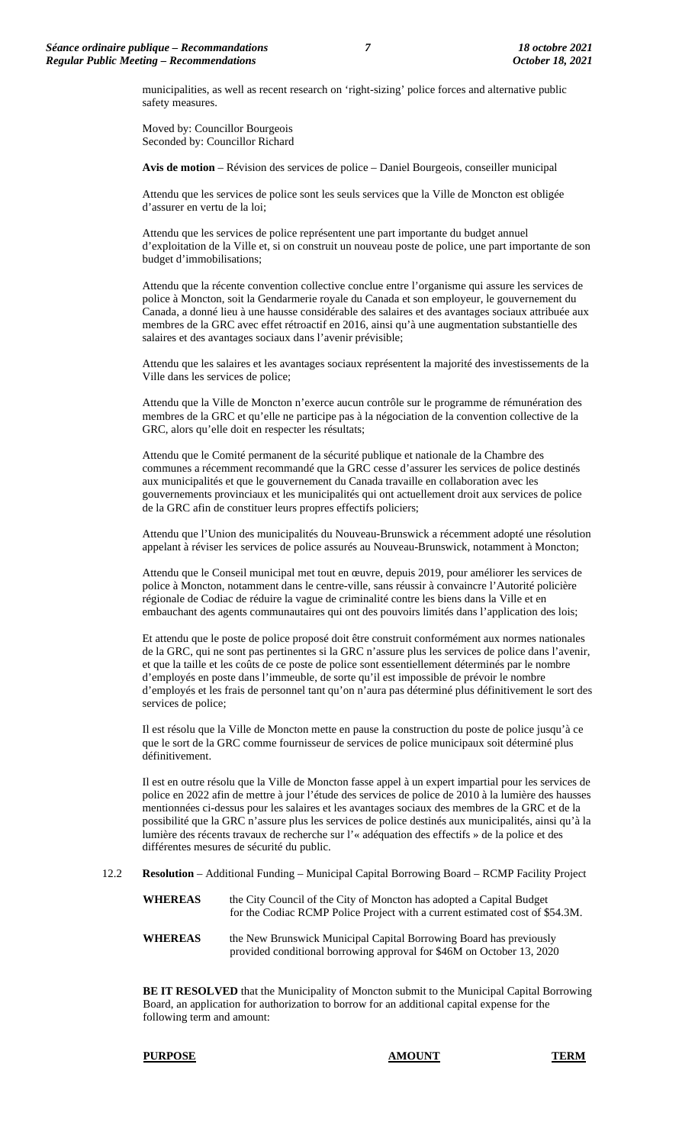municipalities, as well as recent research on 'right-sizing' police forces and alternative public safety measures.

Moved by: Councillor Bourgeois Seconded by: Councillor Richard

**Avis de motion** – Révision des services de police – Daniel Bourgeois, conseiller municipal

Attendu que les services de police sont les seuls services que la Ville de Moncton est obligée d'assurer en vertu de la loi;

Attendu que les services de police représentent une part importante du budget annuel d'exploitation de la Ville et, si on construit un nouveau poste de police, une part importante de son budget d'immobilisations;

Attendu que la récente convention collective conclue entre l'organisme qui assure les services de police à Moncton, soit la Gendarmerie royale du Canada et son employeur, le gouvernement du Canada, a donné lieu à une hausse considérable des salaires et des avantages sociaux attribuée aux membres de la GRC avec effet rétroactif en 2016, ainsi qu'à une augmentation substantielle des salaires et des avantages sociaux dans l'avenir prévisible;

Attendu que les salaires et les avantages sociaux représentent la majorité des investissements de la Ville dans les services de police;

Attendu que la Ville de Moncton n'exerce aucun contrôle sur le programme de rémunération des membres de la GRC et qu'elle ne participe pas à la négociation de la convention collective de la GRC, alors qu'elle doit en respecter les résultats;

Attendu que le Comité permanent de la sécurité publique et nationale de la Chambre des communes a récemment recommandé que la GRC cesse d'assurer les services de police destinés aux municipalités et que le gouvernement du Canada travaille en collaboration avec les gouvernements provinciaux et les municipalités qui ont actuellement droit aux services de police de la GRC afin de constituer leurs propres effectifs policiers;

Attendu que l'Union des municipalités du Nouveau-Brunswick a récemment adopté une résolution appelant à réviser les services de police assurés au Nouveau-Brunswick, notamment à Moncton;

Attendu que le Conseil municipal met tout en œuvre, depuis 2019, pour améliorer les services de police à Moncton, notamment dans le centre-ville, sans réussir à convaincre l'Autorité policière régionale de Codiac de réduire la vague de criminalité contre les biens dans la Ville et en embauchant des agents communautaires qui ont des pouvoirs limités dans l'application des lois;

Et attendu que le poste de police proposé doit être construit conformément aux normes nationales de la GRC, qui ne sont pas pertinentes si la GRC n'assure plus les services de police dans l'avenir, et que la taille et les coûts de ce poste de police sont essentiellement déterminés par le nombre d'employés en poste dans l'immeuble, de sorte qu'il est impossible de prévoir le nombre d'employés et les frais de personnel tant qu'on n'aura pas déterminé plus définitivement le sort des services de police;

Il est résolu que la Ville de Moncton mette en pause la construction du poste de police jusqu'à ce que le sort de la GRC comme fournisseur de services de police municipaux soit déterminé plus définitivement.

Il est en outre résolu que la Ville de Moncton fasse appel à un expert impartial pour les services de police en 2022 afin de mettre à jour l'étude des services de police de 2010 à la lumière des hausses mentionnées ci-dessus pour les salaires et les avantages sociaux des membres de la GRC et de la possibilité que la GRC n'assure plus les services de police destinés aux municipalités, ainsi qu'à la lumière des récents travaux de recherche sur l'« adéquation des effectifs » de la police et des différentes mesures de sécurité du public.

12.2 **Resolution** – Additional Funding – Municipal Capital Borrowing Board – RCMP Facility Project

- **WHEREAS** the City Council of the City of Moncton has adopted a Capital Budget for the Codiac RCMP Police Project with a current estimated cost of \$54.3M.
- **WHEREAS** the New Brunswick Municipal Capital Borrowing Board has previously provided conditional borrowing approval for \$46M on October 13, 2020

**BE IT RESOLVED** that the Municipality of Moncton submit to the Municipal Capital Borrowing Board, an application for authorization to borrow for an additional capital expense for the following term and amount:

#### **PURPOSE AMOUNT TERM**